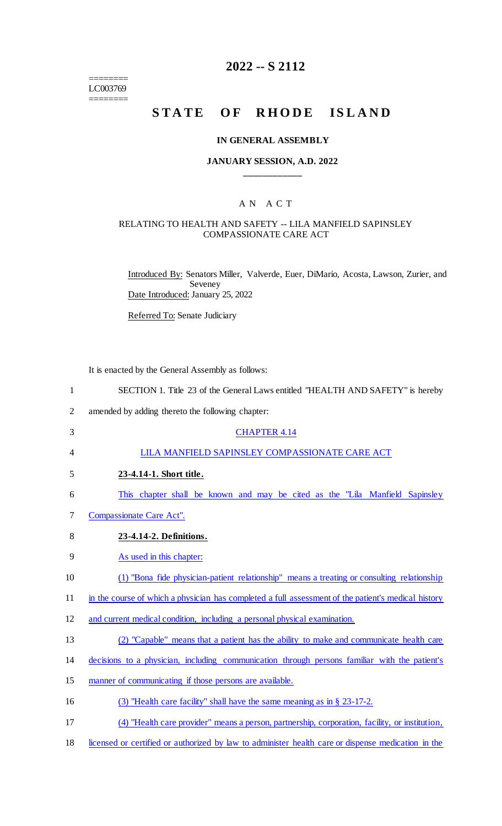======== LC003769 ========

# **2022 -- S 2112**

# **STATE OF RHODE ISLAND**

#### **IN GENERAL ASSEMBLY**

#### **JANUARY SESSION, A.D. 2022 \_\_\_\_\_\_\_\_\_\_\_\_**

### A N A C T

#### RELATING TO HEALTH AND SAFETY -- LILA MANFIELD SAPINSLEY COMPASSIONATE CARE ACT

Introduced By: Senators Miller, Valverde, Euer, DiMario, Acosta, Lawson, Zurier, and Seveney Date Introduced: January 25, 2022

Referred To: Senate Judiciary

It is enacted by the General Assembly as follows:

| $\mathbf{1}$   | SECTION 1. Title 23 of the General Laws entitled "HEALTH AND SAFETY" is hereby                      |
|----------------|-----------------------------------------------------------------------------------------------------|
| $\overline{2}$ | amended by adding thereto the following chapter:                                                    |
| 3              | <b>CHAPTER 4.14</b>                                                                                 |
| $\overline{4}$ | LILA MANFIELD SAPINSLEY COMPASSIONATE CARE ACT                                                      |
| 5              | 23-4.14-1. Short title.                                                                             |
| 6              | This chapter shall be known and may be cited as the "Lila Manfield Sapinsley"                       |
| 7              | Compassionate Care Act".                                                                            |
| 8              | 23-4.14-2. Definitions.                                                                             |
| 9              | As used in this chapter:                                                                            |
| 10             | (1) "Bona fide physician-patient relationship" means a treating or consulting relationship          |
| 11             | in the course of which a physician has completed a full assessment of the patient's medical history |
| 12             | and current medical condition, including a personal physical examination.                           |
| 13             | (2) "Capable" means that a patient has the ability to make and communicate health care              |
| 14             | decisions to a physician, including communication through persons familiar with the patient's       |
| 15             | manner of communicating if those persons are available.                                             |
| 16             | (3) "Health care facility" shall have the same meaning as in $\S$ 23-17-2.                          |
| 17             | (4) "Health care provider" means a person, partnership, corporation, facility, or institution,      |
| 18             | licensed or certified or authorized by law to administer health care or dispense medication in the  |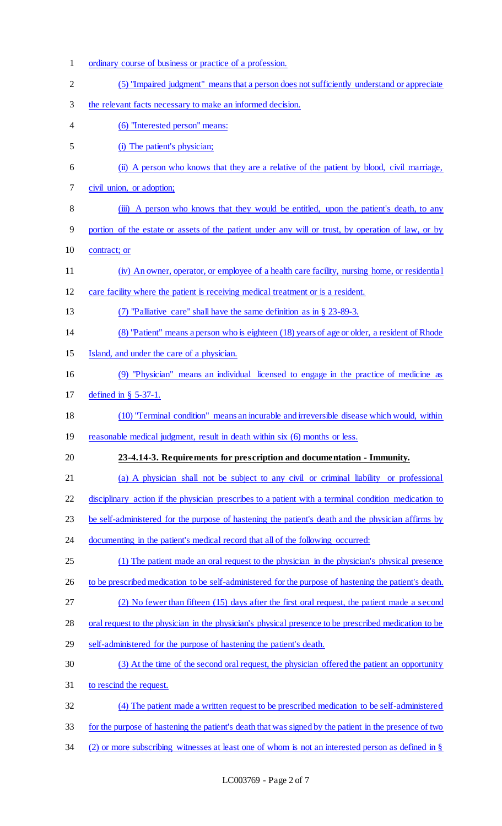ordinary course of business or practice of a profession. (5) "Impaired judgment" means that a person does not sufficiently understand or appreciate 3 the relevant facts necessary to make an informed decision. (6) "Interested person" means: (i) The patient's physician; (ii) A person who knows that they are a relative of the patient by blood, civil marriage, civil union, or adoption; 8 (iii) A person who knows that they would be entitled, upon the patient's death, to any portion of the estate or assets of the patient under any will or trust, by operation of law, or by contract; or (iv) An owner, operator, or employee of a health care facility, nursing home, or residentia l care facility where the patient is receiving medical treatment or is a resident. (7) "Palliative care" shall have the same definition as in § 23-89-3. (8) "Patient" means a person who is eighteen (18) years of age or older, a resident of Rhode Island, and under the care of a physician. (9) "Physician" means an individual licensed to engage in the practice of medicine as defined in § 5-37-1. (10) "Terminal condition" means an incurable and irreversible disease which would, within 19 reasonable medical judgment, result in death within six (6) months or less. **23-4.14-3. Requirements for prescription and documentation - Immunity.** (a) A physician shall not be subject to any civil or criminal liability or professional disciplinary action if the physician prescribes to a patient with a terminal condition medication to be self-administered for the purpose of hastening the patient's death and the physician affirms by 24 documenting in the patient's medical record that all of the following occurred: (1) The patient made an oral request to the physician in the physician's physical presence 26 to be prescribed medication to be self-administered for the purpose of hastening the patient's death. (2) No fewer than fifteen (15) days after the first oral request, the patient made a second oral request to the physician in the physician's physical presence to be prescribed medication to be self-administered for the purpose of hastening the patient's death. (3) At the time of the second oral request, the physician offered the patient an opportunity to rescind the request. (4) The patient made a written request to be prescribed medication to be self-administered for the purpose of hastening the patient's death that was signed by the patient in the presence of two (2) or more subscribing witnesses at least one of whom is not an interested person as defined in §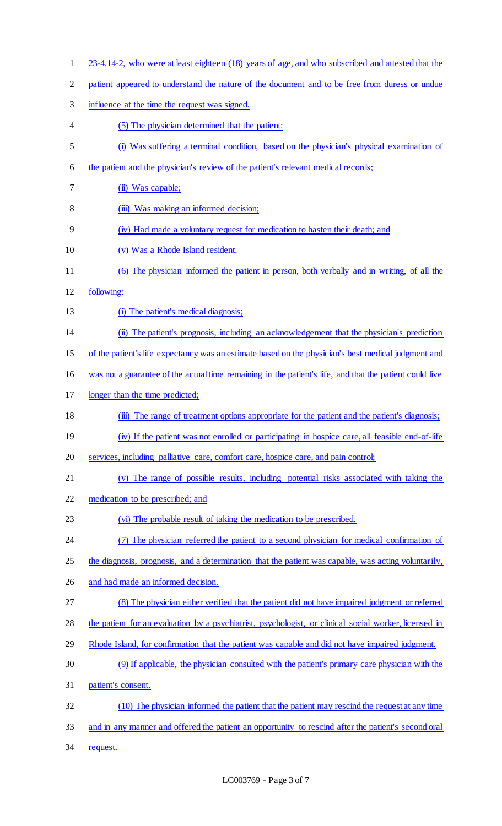23-4.14-2, who were at least eighteen (18) years of age, and who subscribed and attested that the patient appeared to understand the nature of the document and to be free from duress or undue influence at the time the request was signed. (5) The physician determined that the patient: (i) Was suffering a terminal condition, based on the physician's physical examination of 6 the patient and the physician's review of the patient's relevant medical records; (ii) Was capable; (iii) Was making an informed decision; (iv) Had made a voluntary request for medication to hasten their death; and (v) Was a Rhode Island resident. (6) The physician informed the patient in person, both verbally and in writing, of all the following: 13 (i) The patient's medical diagnosis; (ii) The patient's prognosis, including an acknowledgement that the physician's prediction of the patient's life expectancy was an estimate based on the physician's best medical judgment and was not a guarantee of the actual time remaining in the patient's life, and that the patient could live longer than the time predicted; (iii) The range of treatment options appropriate for the patient and the patient's diagnosis; (iv) If the patient was not enrolled or participating in hospice care, all feasible end-of-life services, including palliative care, comfort care, hospice care, and pain control; (v) The range of possible results, including potential risks associated with taking the medication to be prescribed; and (vi) The probable result of taking the medication to be prescribed. (7) The physician referred the patient to a second physician for medical confirmation of 25 the diagnosis, prognosis, and a determination that the patient was capable, was acting voluntarily, and had made an informed decision. (8) The physician either verified that the patient did not have impaired judgment or referred the patient for an evaluation by a psychiatrist, psychologist, or clinical social worker, licensed in Rhode Island, for confirmation that the patient was capable and did not have impaired judgment. (9) If applicable, the physician consulted with the patient's primary care physician with the patient's consent. (10) The physician informed the patient that the patient may rescind the request at any time and in any manner and offered the patient an opportunity to rescind after the patient's second oral 34 request.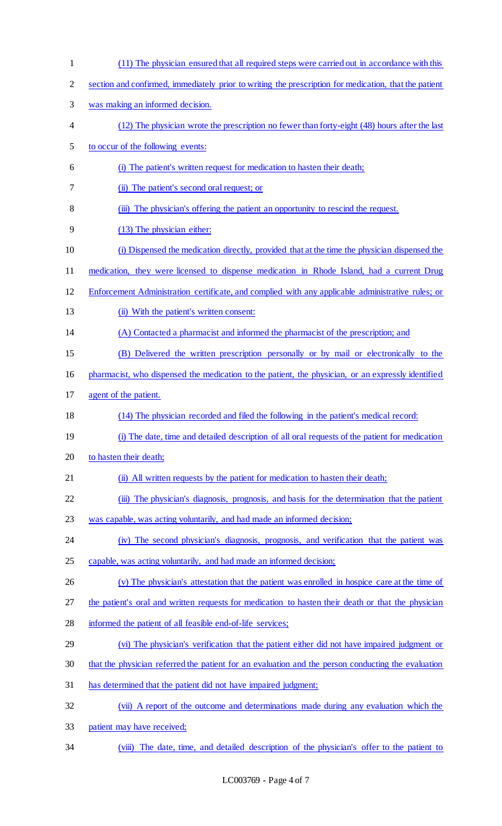| $\mathbf{1}$   | (11) The physician ensured that all required steps were carried out in accordance with this           |
|----------------|-------------------------------------------------------------------------------------------------------|
| $\overline{2}$ | section and confirmed, immediately prior to writing the prescription for medication, that the patient |
| 3              | was making an informed decision.                                                                      |
| 4              | (12) The physician wrote the prescription no fewer than forty-eight (48) hours after the last         |
| 5              | to occur of the following events:                                                                     |
| 6              | (i) The patient's written request for medication to hasten their death;                               |
| 7              | (ii) The patient's second oral request; or                                                            |
| 8              | (iii) The physician's offering the patient an opportunity to rescind the request.                     |
| 9              | (13) The physician either:                                                                            |
| 10             | (i) Dispensed the medication directly, provided that at the time the physician dispensed the          |
| 11             | medication, they were licensed to dispense medication in Rhode Island, had a current Drug             |
| 12             | Enforcement Administration certificate, and complied with any applicable administrative rules; or     |
| 13             | (ii) With the patient's written consent:                                                              |
| 14             | (A) Contacted a pharmacist and informed the pharmacist of the prescription; and                       |
| 15             | (B) Delivered the written prescription personally or by mail or electronically to the                 |
| 16             | pharmacist, who dispensed the medication to the patient, the physician, or an expressly identified    |
| 17             | agent of the patient.                                                                                 |
| 18             | (14) The physician recorded and filed the following in the patient's medical record:                  |
| 19             | (i) The date, time and detailed description of all oral requests of the patient for medication        |
| 20             | to hasten their death;                                                                                |
| 21             | (ii) All written requests by the patient for medication to hasten their death;                        |
| 22             | (iii) The physician's diagnosis, prognosis, and basis for the determination that the patient          |
| 23             | was capable, was acting voluntarily, and had made an informed decision;                               |
| 24             | (iv) The second physician's diagnosis, prognosis, and verification that the patient was               |
| 25             | capable, was acting voluntarily, and had made an informed decision;                                   |
| 26             | (v) The physician's attestation that the patient was enrolled in hospice care at the time of          |
| 27             | the patient's oral and written requests for medication to hasten their death or that the physician    |
| 28             | informed the patient of all feasible end-of-life services;                                            |
| 29             | (vi) The physician's verification that the patient either did not have impaired judgment or           |
| 30             | that the physician referred the patient for an evaluation and the person conducting the evaluation    |
| 31             | has determined that the patient did not have impaired judgment;                                       |
| 32             | (vii) A report of the outcome and determinations made during any evaluation which the                 |
| 33             | patient may have received;                                                                            |
| 34             | (viii) The date, time, and detailed description of the physician's offer to the patient to            |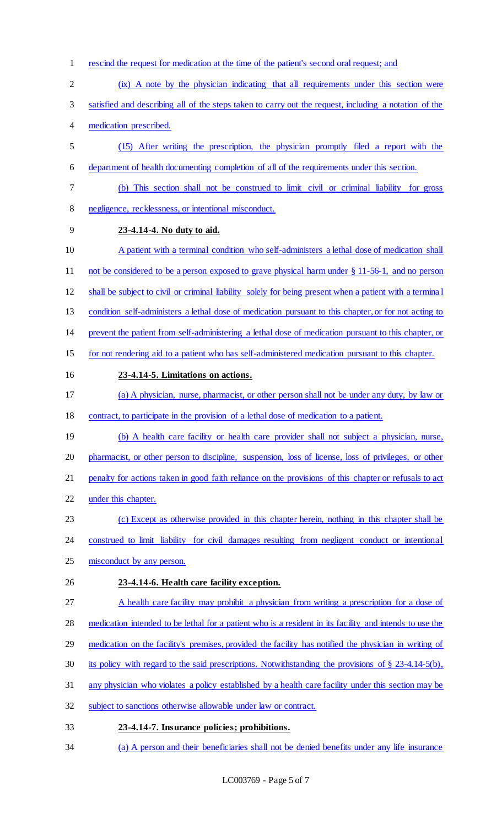- rescind the request for medication at the time of the patient's second oral request; and
- (ix) A note by the physician indicating that all requirements under this section were
- satisfied and describing all of the steps taken to carry out the request, including a notation of the
- medication prescribed.
- (15) After writing the prescription, the physician promptly filed a report with the department of health documenting completion of all of the requirements under this section.
- (b) This section shall not be construed to limit civil or criminal liability for gross negligence, recklessness, or intentional misconduct.
- **23-4.14-4. No duty to aid.**
- A patient with a terminal condition who self-administers a lethal dose of medication shall not be considered to be a person exposed to grave physical harm under § 11-56-1, and no person
- shall be subject to civil or criminal liability solely for being present when a patient with a termina l
- condition self-administers a lethal dose of medication pursuant to this chapter, or for not acting to
- prevent the patient from self-administering a lethal dose of medication pursuant to this chapter, or
- for not rendering aid to a patient who has self-administered medication pursuant to this chapter.
- 

# **23-4.14-5. Limitations on actions.**

- (a) A physician, nurse, pharmacist, or other person shall not be under any duty, by law or contract, to participate in the provision of a lethal dose of medication to a patient.
- 19 (b) A health care facility or health care provider shall not subject a physician, nurse,
- pharmacist, or other person to discipline, suspension, loss of license, loss of privileges, or other
- 21 penalty for actions taken in good faith reliance on the provisions of this chapter or refusals to act
- under this chapter.
- (c) Except as otherwise provided in this chapter herein, nothing in this chapter shall be
- 24 construed to limit liability for civil damages resulting from negligent conduct or intentional
- misconduct by any person.
- **23-4.14-6. Health care facility exception.**
- A health care facility may prohibit a physician from writing a prescription for a dose of

medication intended to be lethal for a patient who is a resident in its facility and intends to use the

- medication on the facility's premises, provided the facility has notified the physician in writing of
- its policy with regard to the said prescriptions. Notwithstanding the provisions of § 23-4.14-5(b),
- any physician who violates a policy established by a health care facility under this section may be
- subject to sanctions otherwise allowable under law or contract.

# **23-4.14-7. Insurance policies; prohibitions.**

(a) A person and their beneficiaries shall not be denied benefits under any life insurance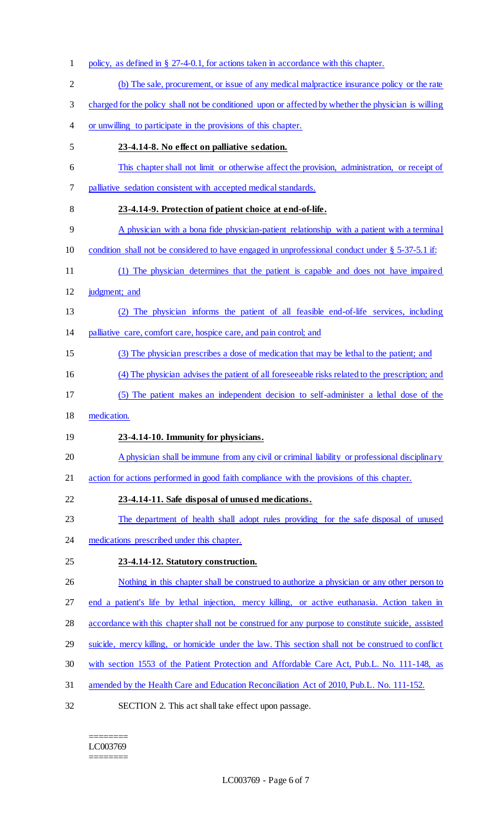policy, as defined in § 27-4-0.1, for actions taken in accordance with this chapter. (b) The sale, procurement, or issue of any medical malpractice insurance policy or the rate charged for the policy shall not be conditioned upon or affected by whether the physician is willing or unwilling to participate in the provisions of this chapter. **23-4.14-8. No effect on palliative sedation.** This chapter shall not limit or otherwise affect the provision, administration, or receipt of palliative sedation consistent with accepted medical standards. **23-4.14-9. Protection of patient choice at end-of-life.** A physician with a bona fide physician-patient relationship with a patient with a terminal 10 condition shall not be considered to have engaged in unprofessional conduct under § 5-37-5.1 if: (1) The physician determines that the patient is capable and does not have impaired judgment; and (2) The physician informs the patient of all feasible end-of-life services, including 14 palliative care, comfort care, hospice care, and pain control; and (3) The physician prescribes a dose of medication that may be lethal to the patient; and (4) The physician advises the patient of all foreseeable risks related to the prescription; and (5) The patient makes an independent decision to self-administer a lethal dose of the medication. **23-4.14-10. Immunity for physicians.** 20 A physician shall be immune from any civil or criminal liability or professional disciplinary action for actions performed in good faith compliance with the provisions of this chapter. **23-4.14-11. Safe disposal of unused medications.** 23 The department of health shall adopt rules providing for the safe disposal of unused 24 medications prescribed under this chapter. **23-4.14-12. Statutory construction.** 26 Nothing in this chapter shall be construed to authorize a physician or any other person to end a patient's life by lethal injection, mercy killing, or active euthanasia. Action taken in accordance with this chapter shall not be construed for any purpose to constitute suicide, assisted suicide, mercy killing, or homicide under the law. This section shall not be construed to conflict with section 1553 of the Patient Protection and Affordable Care Act, Pub.L. No. 111-148, as amended by the Health Care and Education Reconciliation Act of 2010, Pub.L. No. 111-152. SECTION 2. This act shall take effect upon passage.

======== LC003769 ========